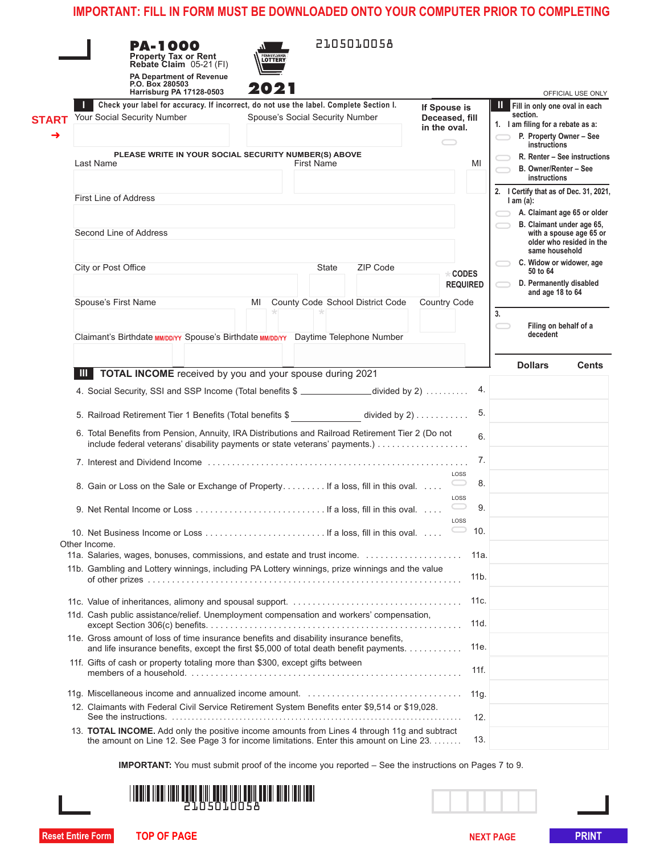|              | <b>PA-1000</b><br>Property Tax or Rent<br>Rebate Claim 05-21 (FI)<br><b>PA Department of Revenue</b><br>P.O. Box 280503<br>Harrisburg PA 17128-0503                              | LOTTERY<br>2021                                                                       |                       | 2105010058                                               |                                |                 |                                               | OFFICIAL USE ONLY                      |  |
|--------------|----------------------------------------------------------------------------------------------------------------------------------------------------------------------------------|---------------------------------------------------------------------------------------|-----------------------|----------------------------------------------------------|--------------------------------|-----------------|-----------------------------------------------|----------------------------------------|--|
|              | Check your label for accuracy. If incorrect, do not use the label. Complete Section I.                                                                                           |                                                                                       |                       |                                                          | If Spouse is                   |                 | Ш<br>Fill in only one oval in each            |                                        |  |
| <b>START</b> | Your Social Security Number                                                                                                                                                      | Spouse's Social Security Number                                                       |                       |                                                          | Deceased, fill<br>in the oval. |                 | section.<br>1. I am filing for a rebate as a: |                                        |  |
|              |                                                                                                                                                                                  |                                                                                       |                       |                                                          | $\hspace{.05cm} \square$       |                 |                                               | P. Property Owner - See                |  |
|              | PLEASE WRITE IN YOUR SOCIAL SECURITY NUMBER(S) ABOVE                                                                                                                             |                                                                                       | instructions          |                                                          |                                |                 |                                               |                                        |  |
|              | Last Name                                                                                                                                                                        | MI                                                                                    | B. Owner/Renter - See | R. Renter - See instructions                             |                                |                 |                                               |                                        |  |
|              |                                                                                                                                                                                  |                                                                                       |                       |                                                          |                                |                 | instructions                                  |                                        |  |
|              | First Line of Address                                                                                                                                                            |                                                                                       |                       |                                                          |                                |                 |                                               | 2. I Certify that as of Dec. 31, 2021, |  |
|              |                                                                                                                                                                                  |                                                                                       |                       |                                                          |                                |                 | $l$ am $(a)$ :                                |                                        |  |
|              |                                                                                                                                                                                  |                                                                                       |                       | A. Claimant age 65 or older<br>B. Claimant under age 65, |                                |                 |                                               |                                        |  |
|              | Second Line of Address                                                                                                                                                           |                                                                                       |                       | with a spouse age 65 or                                  |                                |                 |                                               |                                        |  |
|              |                                                                                                                                                                                  |                                                                                       | same household        | older who resided in the                                 |                                |                 |                                               |                                        |  |
|              | City or Post Office                                                                                                                                                              |                                                                                       |                       | ZIP Code                                                 |                                |                 |                                               | C. Widow or widower, age               |  |
|              |                                                                                                                                                                                  | State<br><b>* CODES</b>                                                               |                       |                                                          |                                |                 |                                               | 50 to 64<br>D. Permanently disabled    |  |
|              |                                                                                                                                                                                  |                                                                                       |                       |                                                          |                                | <b>REQUIRED</b> | and age 18 to 64                              |                                        |  |
|              | Spouse's First Name                                                                                                                                                              | MI                                                                                    |                       | County Code School District Code                         | Country Code                   |                 |                                               |                                        |  |
|              |                                                                                                                                                                                  |                                                                                       |                       |                                                          |                                |                 | 3.                                            |                                        |  |
|              |                                                                                                                                                                                  |                                                                                       |                       |                                                          |                                |                 | decedent                                      | Filing on behalf of a                  |  |
|              | Claimant's Birthdate MM/DD/YY Spouse's Birthdate MM/DD/YY Daytime Telephone Number                                                                                               |                                                                                       |                       |                                                          |                                |                 |                                               |                                        |  |
|              |                                                                                                                                                                                  |                                                                                       |                       |                                                          |                                |                 | <b>Dollars</b>                                |                                        |  |
|              | TOTAL INCOME received by you and your spouse during 2021<br>Ш                                                                                                                    |                                                                                       |                       |                                                          |                                |                 |                                               | <b>Cents</b>                           |  |
|              |                                                                                                                                                                                  |                                                                                       |                       |                                                          |                                | 4.              |                                               |                                        |  |
|              |                                                                                                                                                                                  | 4. Social Security, SSI and SSP Income (Total benefits \$ ______________divided by 2) |                       |                                                          |                                |                 |                                               |                                        |  |
|              | 5. Railroad Retirement Tier 1 Benefits (Total benefits \$<br>divided by $2)$                                                                                                     |                                                                                       |                       |                                                          |                                |                 |                                               |                                        |  |
|              |                                                                                                                                                                                  |                                                                                       |                       |                                                          |                                |                 |                                               |                                        |  |
|              | 6. Total Benefits from Pension, Annuity, IRA Distributions and Railroad Retirement Tier 2 (Do not<br>include federal veterans' disability payments or state veterans' payments.) |                                                                                       |                       |                                                          |                                |                 |                                               |                                        |  |
|              |                                                                                                                                                                                  |                                                                                       |                       |                                                          |                                |                 |                                               |                                        |  |
|              | LOSS                                                                                                                                                                             |                                                                                       |                       |                                                          |                                |                 |                                               |                                        |  |
|              | 8. Gain or Loss on the Sale or Exchange of Property If a loss, fill in this oval                                                                                                 |                                                                                       |                       |                                                          |                                | 8.              |                                               |                                        |  |
|              |                                                                                                                                                                                  | LOSS                                                                                  |                       |                                                          |                                |                 |                                               |                                        |  |
|              |                                                                                                                                                                                  |                                                                                       |                       |                                                          |                                | 9.              |                                               |                                        |  |
|              |                                                                                                                                                                                  |                                                                                       |                       |                                                          |                                | LOSS            |                                               |                                        |  |
|              | Other Income.                                                                                                                                                                    |                                                                                       |                       |                                                          |                                | 10.             |                                               |                                        |  |
|              |                                                                                                                                                                                  |                                                                                       |                       |                                                          |                                | 11a.            |                                               |                                        |  |
|              | 11b. Gambling and Lottery winnings, including PA Lottery winnings, prize winnings and the value                                                                                  |                                                                                       |                       |                                                          |                                |                 |                                               |                                        |  |
|              |                                                                                                                                                                                  |                                                                                       |                       |                                                          |                                | 11 <sub>b</sub> |                                               |                                        |  |
|              |                                                                                                                                                                                  |                                                                                       |                       |                                                          |                                |                 |                                               |                                        |  |
|              |                                                                                                                                                                                  |                                                                                       |                       |                                                          |                                | 11c.            |                                               |                                        |  |
|              | 11d. Cash public assistance/relief. Unemployment compensation and workers' compensation,                                                                                         |                                                                                       |                       |                                                          |                                | 11d.            |                                               |                                        |  |
|              | 11e. Gross amount of loss of time insurance benefits and disability insurance benefits,                                                                                          |                                                                                       |                       |                                                          |                                |                 |                                               |                                        |  |
|              | and life insurance benefits, except the first \$5,000 of total death benefit payments.                                                                                           |                                                                                       |                       |                                                          |                                | 11e.            |                                               |                                        |  |
|              | 11f. Gifts of cash or property totaling more than \$300, except gifts between                                                                                                    |                                                                                       |                       |                                                          |                                |                 |                                               |                                        |  |
|              |                                                                                                                                                                                  |                                                                                       |                       |                                                          |                                | 11f.            |                                               |                                        |  |
|              |                                                                                                                                                                                  |                                                                                       |                       |                                                          |                                |                 |                                               |                                        |  |
|              | 12. Claimants with Federal Civil Service Retirement System Benefits enter \$9,514 or \$19,028.                                                                                   |                                                                                       |                       |                                                          |                                | 11g.            |                                               |                                        |  |
|              |                                                                                                                                                                                  |                                                                                       |                       |                                                          |                                | 12.             |                                               |                                        |  |
|              | 13. TOTAL INCOME. Add only the positive income amounts from Lines 4 through 11g and subtract                                                                                     |                                                                                       |                       |                                                          |                                |                 |                                               |                                        |  |
|              | the amount on Line 12. See Page 3 for income limitations. Enter this amount on Line 23.                                                                                          |                                                                                       |                       |                                                          |                                |                 |                                               |                                        |  |
|              |                                                                                                                                                                                  |                                                                                       |                       |                                                          |                                |                 |                                               |                                        |  |
|              | <b>IMPORTANT:</b> You must submit proof of the income you reported – See the instructions on Pages 7 to 9.                                                                       |                                                                                       |                       |                                                          |                                |                 |                                               |                                        |  |
|              |                                                                                                                                                                                  |                                                                                       |                       |                                                          |                                |                 |                                               |                                        |  |
|              |                                                                                                                                                                                  | iii <b>hii i</b> iii iiii iiii                                                        |                       |                                                          |                                |                 |                                               |                                        |  |
|              |                                                                                                                                                                                  |                                                                                       |                       |                                                          |                                |                 |                                               |                                        |  |
|              |                                                                                                                                                                                  |                                                                                       |                       |                                                          |                                |                 |                                               |                                        |  |
|              | <b>Reset Entire Form</b><br><b>TOP OF PAGE</b>                                                                                                                                   |                                                                                       |                       |                                                          |                                |                 | <b>NEXT PAGE</b>                              | PRINT                                  |  |